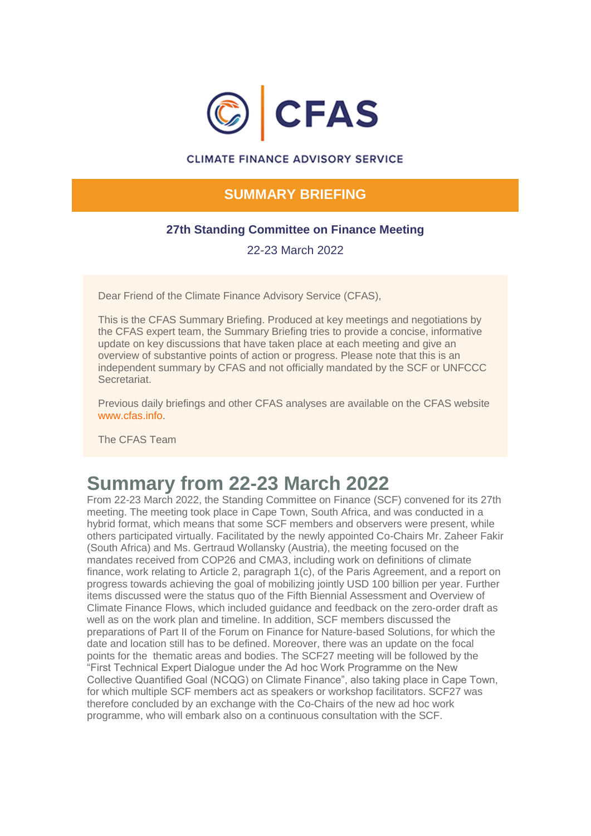

### **CLIMATE FINANCE ADVISORY SERVICE**

### **SUMMARY BRIEFING**

### **27th Standing Committee on Finance Meeting**

22-23 March 2022

Dear Friend of the Climate Finance Advisory Service (CFAS),

This is the CFAS Summary Briefing. Produced at key meetings and negotiations by the CFAS expert team, the Summary Briefing tries to provide a concise, informative update on key discussions that have taken place at each meeting and give an overview of substantive points of action or progress. Please note that this is an independent summary by CFAS and not officially mandated by the SCF or UNFCCC **Secretariat** 

Previous daily briefings and other CFAS analyses are available on the CFAS website [www.cfas.info.](https://amxe.net/bek48gnr-xe2sv40g-t92bo0jq-c9v)

The CFAS Team

# **Summary from 22-23 March 2022**

From 22-23 March 2022, the Standing Committee on Finance (SCF) convened for its 27th meeting. The meeting took place in Cape Town, South Africa, and was conducted in a hybrid format, which means that some SCF members and observers were present, while others participated virtually. Facilitated by the newly appointed Co-Chairs Mr. Zaheer Fakir (South Africa) and Ms. Gertraud Wollansky (Austria), the meeting focused on the mandates received from COP26 and CMA3, including work on definitions of climate finance, work relating to Article 2, paragraph 1(c), of the Paris Agreement, and a report on progress towards achieving the goal of mobilizing jointly USD 100 billion per year. Further items discussed were the status quo of the Fifth Biennial Assessment and Overview of Climate Finance Flows, which included guidance and feedback on the zero-order draft as well as on the work plan and timeline. In addition, SCF members discussed the preparations of Part II of the Forum on Finance for Nature-based Solutions, for which the date and location still has to be defined. Moreover, there was an update on the focal points for the thematic areas and bodies. The SCF27 meeting will be followed by the "First Technical Expert Dialogue under the Ad hoc Work Programme on the New Collective Quantified Goal (NCQG) on Climate Finance", also taking place in Cape Town, for which multiple SCF members act as speakers or workshop facilitators. SCF27 was therefore concluded by an exchange with the Co-Chairs of the new ad hoc work programme, who will embark also on a continuous consultation with the SCF.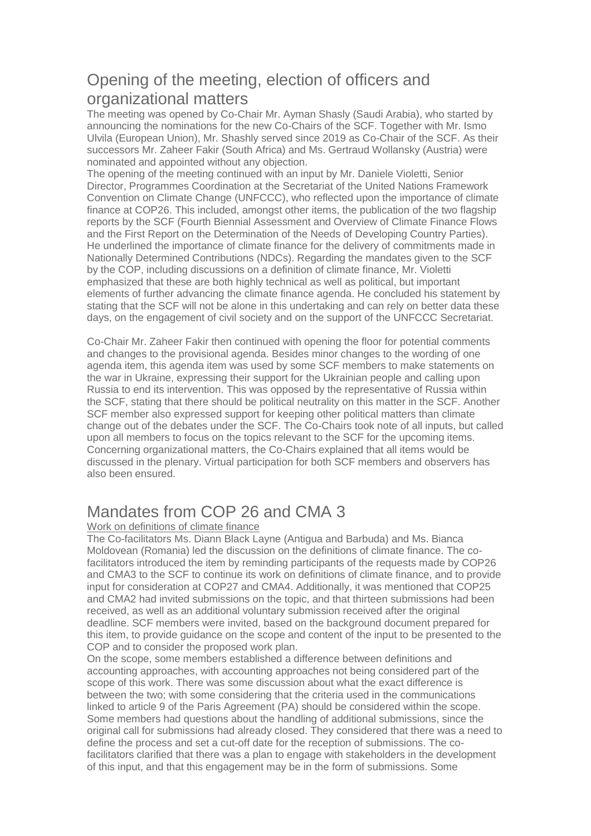## Opening of the meeting, election of officers and organizational matters

The meeting was opened by Co-Chair Mr. Ayman Shasly (Saudi Arabia), who started by announcing the nominations for the new Co-Chairs of the SCF. Together with Mr. Ismo Ulvila (European Union), Mr. Shashly served since 2019 as Co-Chair of the SCF. As their successors Mr. Zaheer Fakir (South Africa) and Ms. Gertraud Wollansky (Austria) were nominated and appointed without any objection.

The opening of the meeting continued with an input by Mr. Daniele Violetti, Senior Director, Programmes Coordination at the Secretariat of the United Nations Framework Convention on Climate Change (UNFCCC), who reflected upon the importance of climate finance at COP26. This included, amongst other items, the publication of the two flagship reports by the SCF (Fourth Biennial Assessment and Overview of Climate Finance Flows and the First Report on the Determination of the Needs of Developing Country Parties). He underlined the importance of climate finance for the delivery of commitments made in Nationally Determined Contributions (NDCs). Regarding the mandates given to the SCF by the COP, including discussions on a definition of climate finance, Mr. Violetti emphasized that these are both highly technical as well as political, but important elements of further advancing the climate finance agenda. He concluded his statement by stating that the SCF will not be alone in this undertaking and can rely on better data these days, on the engagement of civil society and on the support of the UNFCCC Secretariat.

Co-Chair Mr. Zaheer Fakir then continued with opening the floor for potential comments and changes to the provisional agenda. Besides minor changes to the wording of one agenda item, this agenda item was used by some SCF members to make statements on the war in Ukraine, expressing their support for the Ukrainian people and calling upon Russia to end its intervention. This was opposed by the representative of Russia within the SCF, stating that there should be political neutrality on this matter in the SCF. Another SCF member also expressed support for keeping other political matters than climate change out of the debates under the SCF. The Co-Chairs took note of all inputs, but called upon all members to focus on the topics relevant to the SCF for the upcoming items. Concerning organizational matters, the Co-Chairs explained that all items would be discussed in the plenary. Virtual participation for both SCF members and observers has also been ensured.

## Mandates from COP 26 and CMA 3

### Work on definitions of climate finance

The Co-facilitators Ms. Diann Black Layne (Antigua and Barbuda) and Ms. Bianca Moldovean (Romania) led the discussion on the definitions of climate finance. The cofacilitators introduced the item by reminding participants of the requests made by COP26 and CMA3 to the SCF to continue its work on definitions of climate finance, and to provide input for consideration at COP27 and CMA4. Additionally, it was mentioned that COP25 and CMA2 had invited submissions on the topic, and that thirteen submissions had been received, as well as an additional voluntary submission received after the original deadline. SCF members were invited, based on the background document prepared for this item, to provide guidance on the scope and content of the input to be presented to the COP and to consider the proposed work plan.

On the scope, some members established a difference between definitions and accounting approaches, with accounting approaches not being considered part of the scope of this work. There was some discussion about what the exact difference is between the two; with some considering that the criteria used in the communications linked to article 9 of the Paris Agreement (PA) should be considered within the scope. Some members had questions about the handling of additional submissions, since the original call for submissions had already closed. They considered that there was a need to define the process and set a cut-off date for the reception of submissions. The cofacilitators clarified that there was a plan to engage with stakeholders in the development of this input, and that this engagement may be in the form of submissions. Some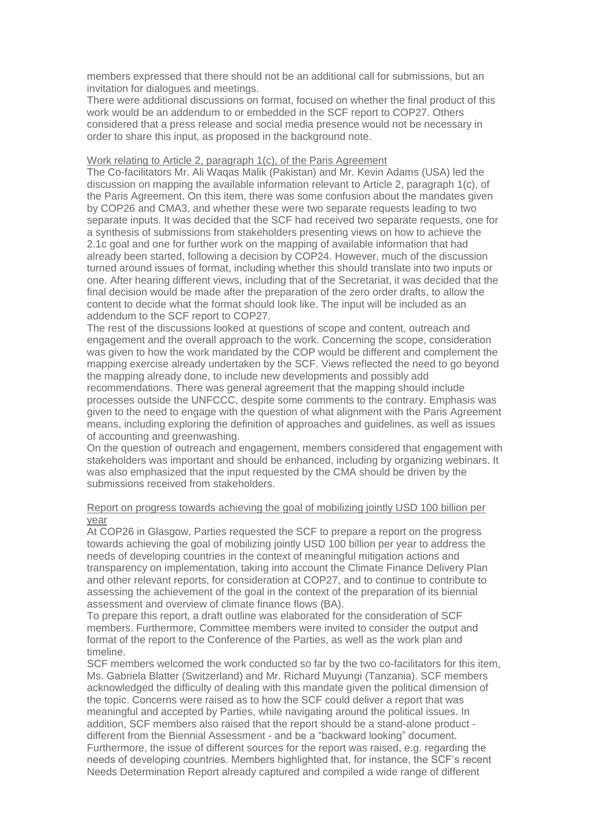members expressed that there should not be an additional call for submissions, but an invitation for dialogues and meetings.

There were additional discussions on format, focused on whether the final product of this work would be an addendum to or embedded in the SCF report to COP27. Others considered that a press release and social media presence would not be necessary in order to share this input, as proposed in the background note.

#### Work relating to Article 2, paragraph 1(c), of the Paris Agreement

The Co-facilitators Mr. Ali Waqas Malik (Pakistan) and Mr. Kevin Adams (USA) led the discussion on mapping the available information relevant to Article 2, paragraph 1(c), of the Paris Agreement. On this item, there was some confusion about the mandates given by COP26 and CMA3, and whether these were two separate requests leading to two separate inputs. It was decided that the SCF had received two separate requests, one for a synthesis of submissions from stakeholders presenting views on how to achieve the 2.1c goal and one for further work on the mapping of available information that had already been started, following a decision by COP24. However, much of the discussion turned around issues of format, including whether this should translate into two inputs or one. After hearing different views, including that of the Secretariat, it was decided that the final decision would be made after the preparation of the zero order drafts, to allow the content to decide what the format should look like. The input will be included as an addendum to the SCF report to COP27.

The rest of the discussions looked at questions of scope and content, outreach and engagement and the overall approach to the work. Concerning the scope, consideration was given to how the work mandated by the COP would be different and complement the mapping exercise already undertaken by the SCF. Views reflected the need to go beyond the mapping already done, to include new developments and possibly add recommendations. There was general agreement that the mapping should include processes outside the UNFCCC, despite some comments to the contrary. Emphasis was given to the need to engage with the question of what alignment with the Paris Agreement means, including exploring the definition of approaches and guidelines, as well as issues of accounting and greenwashing.

On the question of outreach and engagement, members considered that engagement with stakeholders was important and should be enhanced, including by organizing webinars. It was also emphasized that the input requested by the CMA should be driven by the submissions received from stakeholders.

#### Report on progress towards achieving the goal of mobilizing jointly USD 100 billion per year

At COP26 in Glasgow, Parties requested the SCF to prepare a report on the progress towards achieving the goal of mobilizing jointly USD 100 billion per year to address the needs of developing countries in the context of meaningful mitigation actions and transparency on implementation, taking into account the Climate Finance Delivery Plan and other relevant reports, for consideration at COP27, and to continue to contribute to assessing the achievement of the goal in the context of the preparation of its biennial assessment and overview of climate finance flows (BA).

To prepare this report, a draft outline was elaborated for the consideration of SCF members. Furthermore, Committee members were invited to consider the output and format of the report to the Conference of the Parties, as well as the work plan and timeline.

SCF members welcomed the work conducted so far by the two co-facilitators for this item, Ms. Gabriela Blatter (Switzerland) and Mr. Richard Muyungi (Tanzania). SCF members acknowledged the difficulty of dealing with this mandate given the political dimension of the topic. Concerns were raised as to how the SCF could deliver a report that was meaningful and accepted by Parties, while navigating around the political issues. In addition, SCF members also raised that the report should be a stand-alone product different from the Biennial Assessment - and be a "backward looking" document. Furthermore, the issue of different sources for the report was raised, e.g. regarding the needs of developing countries. Members highlighted that, for instance, the SCF's recent Needs Determination Report already captured and compiled a wide range of different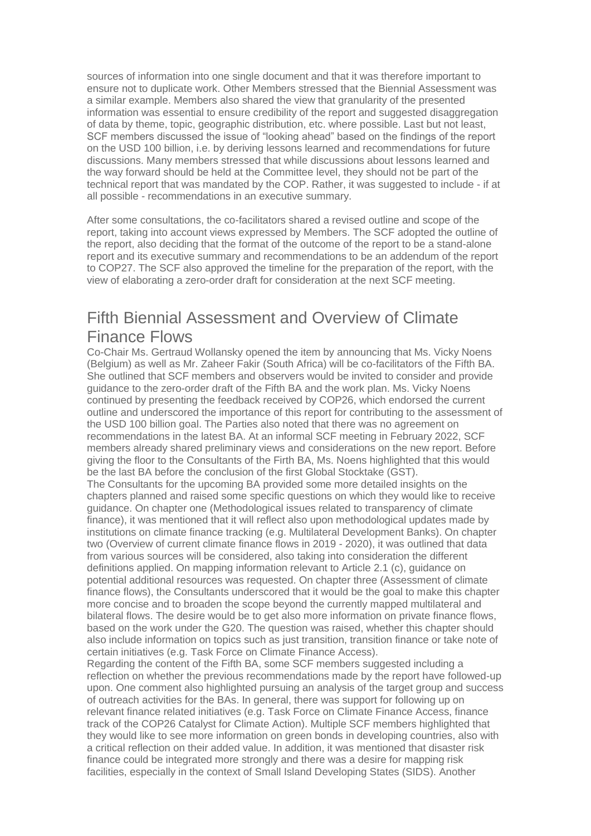sources of information into one single document and that it was therefore important to ensure not to duplicate work. Other Members stressed that the Biennial Assessment was a similar example. Members also shared the view that granularity of the presented information was essential to ensure credibility of the report and suggested disaggregation of data by theme, topic, geographic distribution, etc. where possible. Last but not least, SCF members discussed the issue of "looking ahead" based on the findings of the report on the USD 100 billion, i.e. by deriving lessons learned and recommendations for future discussions. Many members stressed that while discussions about lessons learned and the way forward should be held at the Committee level, they should not be part of the technical report that was mandated by the COP. Rather, it was suggested to include - if at all possible - recommendations in an executive summary.

After some consultations, the co-facilitators shared a revised outline and scope of the report, taking into account views expressed by Members. The SCF adopted the outline of the report, also deciding that the format of the outcome of the report to be a stand-alone report and its executive summary and recommendations to be an addendum of the report to COP27. The SCF also approved the timeline for the preparation of the report, with the view of elaborating a zero-order draft for consideration at the next SCF meeting.

## Fifth Biennial Assessment and Overview of Climate Finance Flows

Co-Chair Ms. Gertraud Wollansky opened the item by announcing that Ms. Vicky Noens (Belgium) as well as Mr. Zaheer Fakir (South Africa) will be co-facilitators of the Fifth BA. She outlined that SCF members and observers would be invited to consider and provide guidance to the zero-order draft of the Fifth BA and the work plan. Ms. Vicky Noens continued by presenting the feedback received by COP26, which endorsed the current outline and underscored the importance of this report for contributing to the assessment of the USD 100 billion goal. The Parties also noted that there was no agreement on recommendations in the latest BA. At an informal SCF meeting in February 2022, SCF members already shared preliminary views and considerations on the new report. Before giving the floor to the Consultants of the Firth BA, Ms. Noens highlighted that this would be the last BA before the conclusion of the first Global Stocktake (GST). The Consultants for the upcoming BA provided some more detailed insights on the chapters planned and raised some specific questions on which they would like to receive guidance. On chapter one (Methodological issues related to transparency of climate finance), it was mentioned that it will reflect also upon methodological updates made by institutions on climate finance tracking (e.g. Multilateral Development Banks). On chapter two (Overview of current climate finance flows in 2019 - 2020), it was outlined that data from various sources will be considered, also taking into consideration the different definitions applied. On mapping information relevant to Article 2.1 (c), guidance on potential additional resources was requested. On chapter three (Assessment of climate finance flows), the Consultants underscored that it would be the goal to make this chapter more concise and to broaden the scope beyond the currently mapped multilateral and bilateral flows. The desire would be to get also more information on private finance flows, based on the work under the G20. The question was raised, whether this chapter should also include information on topics such as just transition, transition finance or take note of certain initiatives (e.g. Task Force on Climate Finance Access).

Regarding the content of the Fifth BA, some SCF members suggested including a reflection on whether the previous recommendations made by the report have followed-up upon. One comment also highlighted pursuing an analysis of the target group and success of outreach activities for the BAs. In general, there was support for following up on relevant finance related initiatives (e.g. Task Force on Climate Finance Access, finance track of the COP26 Catalyst for Climate Action). Multiple SCF members highlighted that they would like to see more information on green bonds in developing countries, also with a critical reflection on their added value. In addition, it was mentioned that disaster risk finance could be integrated more strongly and there was a desire for mapping risk facilities, especially in the context of Small Island Developing States (SIDS). Another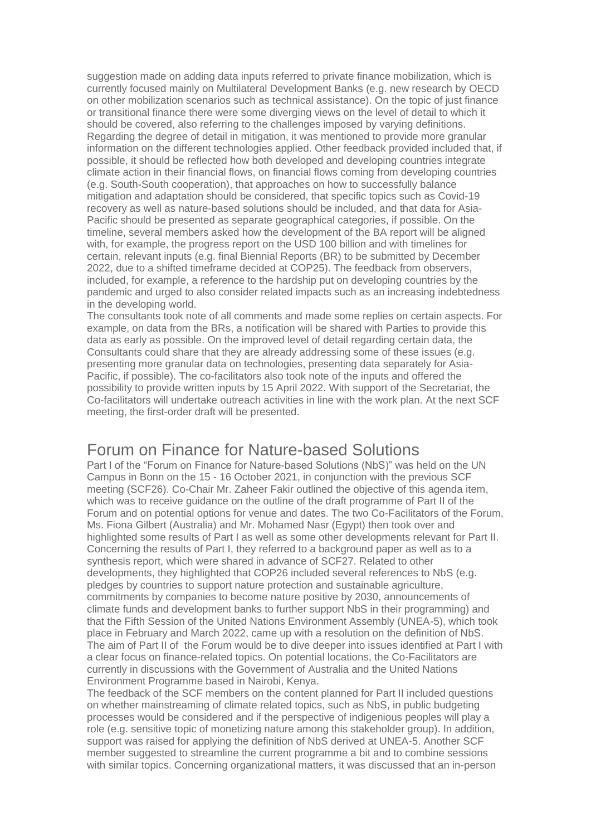suggestion made on adding data inputs referred to private finance mobilization, which is currently focused mainly on Multilateral Development Banks (e.g. new research by OECD on other mobilization scenarios such as technical assistance). On the topic of just finance or transitional finance there were some diverging views on the level of detail to which it should be covered, also referring to the challenges imposed by varying definitions. Regarding the degree of detail in mitigation, it was mentioned to provide more granular information on the different technologies applied. Other feedback provided included that, if possible, it should be reflected how both developed and developing countries integrate climate action in their financial flows, on financial flows coming from developing countries (e.g. South-South cooperation), that approaches on how to successfully balance mitigation and adaptation should be considered, that specific topics such as Covid-19 recovery as well as nature-based solutions should be included, and that data for Asia-Pacific should be presented as separate geographical categories, if possible. On the timeline, several members asked how the development of the BA report will be aligned with, for example, the progress report on the USD 100 billion and with timelines for certain, relevant inputs (e.g. final Biennial Reports (BR) to be submitted by December 2022, due to a shifted timeframe decided at COP25). The feedback from observers, included, for example, a reference to the hardship put on developing countries by the pandemic and urged to also consider related impacts such as an increasing indebtedness in the developing world.

The consultants took note of all comments and made some replies on certain aspects. For example, on data from the BRs, a notification will be shared with Parties to provide this data as early as possible. On the improved level of detail regarding certain data, the Consultants could share that they are already addressing some of these issues (e.g. presenting more granular data on technologies, presenting data separately for Asia-Pacific, if possible). The co-facilitators also took note of the inputs and offered the possibility to provide written inputs by 15 April 2022. With support of the Secretariat, the Co-facilitators will undertake outreach activities in line with the work plan. At the next SCF meeting, the first-order draft will be presented.

## Forum on Finance for Nature-based Solutions

Part I of the "Forum on Finance for Nature-based Solutions (NbS)" was held on the UN Campus in Bonn on the 15 - 16 October 2021, in conjunction with the previous SCF meeting (SCF26). Co-Chair Mr. Zaheer Fakir outlined the objective of this agenda item, which was to receive guidance on the outline of the draft programme of Part II of the Forum and on potential options for venue and dates. The two Co-Facilitators of the Forum, Ms. Fiona Gilbert (Australia) and Mr. Mohamed Nasr (Egypt) then took over and highlighted some results of Part I as well as some other developments relevant for Part II. Concerning the results of Part I, they referred to a background paper as well as to a synthesis report, which were shared in advance of SCF27. Related to other developments, they highlighted that COP26 included several references to NbS (e.g. pledges by countries to support nature protection and sustainable agriculture, commitments by companies to become nature positive by 2030, announcements of climate funds and development banks to further support NbS in their programming) and that the Fifth Session of the United Nations Environment Assembly (UNEA-5), which took place in February and March 2022, came up with a resolution on the definition of NbS. The aim of Part II of the Forum would be to dive deeper into issues identified at Part I with a clear focus on finance-related topics. On potential locations, the Co-Facilitators are currently in discussions with the Government of Australia and the United Nations Environment Programme based in Nairobi, Kenya.

The feedback of the SCF members on the content planned for Part II included questions on whether mainstreaming of climate related topics, such as NbS, in public budgeting processes would be considered and if the perspective of indigenious peoples will play a role (e.g. sensitive topic of monetizing nature among this stakeholder group). In addition, support was raised for applying the definition of NbS derived at UNEA-5. Another SCF member suggested to streamline the current programme a bit and to combine sessions with similar topics. Concerning organizational matters, it was discussed that an in-person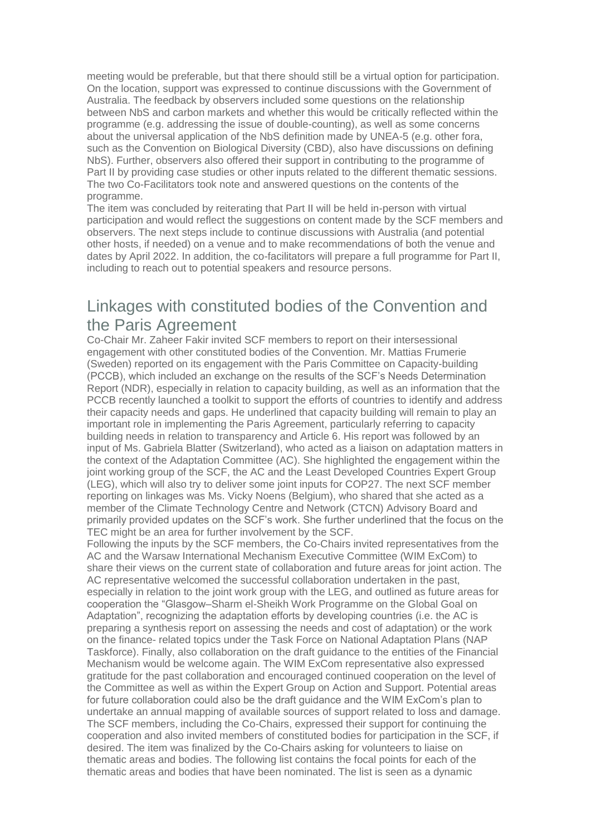meeting would be preferable, but that there should still be a virtual option for participation. On the location, support was expressed to continue discussions with the Government of Australia. The feedback by observers included some questions on the relationship between NbS and carbon markets and whether this would be critically reflected within the programme (e.g. addressing the issue of double-counting), as well as some concerns about the universal application of the NbS definition made by UNEA-5 (e.g. other fora, such as the Convention on Biological Diversity (CBD), also have discussions on defining NbS). Further, observers also offered their support in contributing to the programme of Part II by providing case studies or other inputs related to the different thematic sessions. The two Co-Facilitators took note and answered questions on the contents of the programme.

The item was concluded by reiterating that Part II will be held in-person with virtual participation and would reflect the suggestions on content made by the SCF members and observers. The next steps include to continue discussions with Australia (and potential other hosts, if needed) on a venue and to make recommendations of both the venue and dates by April 2022. In addition, the co-facilitators will prepare a full programme for Part II, including to reach out to potential speakers and resource persons.

## Linkages with constituted bodies of the Convention and the Paris Agreement

Co-Chair Mr. Zaheer Fakir invited SCF members to report on their intersessional engagement with other constituted bodies of the Convention. Mr. Mattias Frumerie (Sweden) reported on its engagement with the Paris Committee on Capacity-building (PCCB), which included an exchange on the results of the SCF's Needs Determination Report (NDR), especially in relation to capacity building, as well as an information that the PCCB recently launched a toolkit to support the efforts of countries to identify and address their capacity needs and gaps. He underlined that capacity building will remain to play an important role in implementing the Paris Agreement, particularly referring to capacity building needs in relation to transparency and Article 6. His report was followed by an input of Ms. Gabriela Blatter (Switzerland), who acted as a liaison on adaptation matters in the context of the Adaptation Committee (AC). She highlighted the engagement within the joint working group of the SCF, the AC and the Least Developed Countries Expert Group (LEG), which will also try to deliver some joint inputs for COP27. The next SCF member reporting on linkages was Ms. Vicky Noens (Belgium), who shared that she acted as a member of the Climate Technology Centre and Network (CTCN) Advisory Board and primarily provided updates on the SCF's work. She further underlined that the focus on the TEC might be an area for further involvement by the SCF.

Following the inputs by the SCF members, the Co-Chairs invited representatives from the AC and the Warsaw International Mechanism Executive Committee (WIM ExCom) to share their views on the current state of collaboration and future areas for joint action. The AC representative welcomed the successful collaboration undertaken in the past, especially in relation to the joint work group with the LEG, and outlined as future areas for cooperation the "Glasgow–Sharm el-Sheikh Work Programme on the Global Goal on Adaptation", recognizing the adaptation efforts by developing countries (i.e. the AC is preparing a synthesis report on assessing the needs and cost of adaptation) or the work on the finance- related topics under the Task Force on National Adaptation Plans (NAP Taskforce). Finally, also collaboration on the draft guidance to the entities of the Financial Mechanism would be welcome again. The WIM ExCom representative also expressed gratitude for the past collaboration and encouraged continued cooperation on the level of the Committee as well as within the Expert Group on Action and Support. Potential areas for future collaboration could also be the draft guidance and the WIM ExCom's plan to undertake an annual mapping of available sources of support related to loss and damage. The SCF members, including the Co-Chairs, expressed their support for continuing the cooperation and also invited members of constituted bodies for participation in the SCF, if desired. The item was finalized by the Co-Chairs asking for volunteers to liaise on thematic areas and bodies. The following list contains the focal points for each of the thematic areas and bodies that have been nominated. The list is seen as a dynamic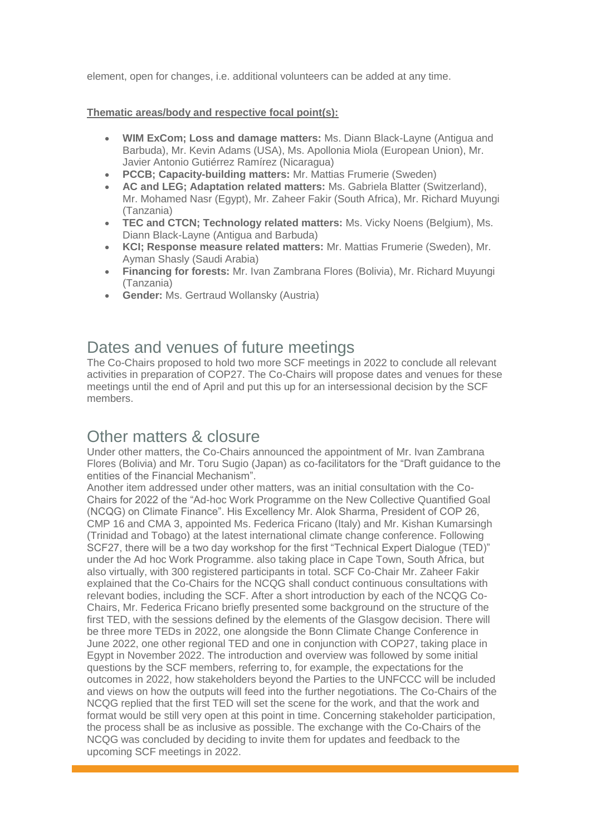element, open for changes, i.e. additional volunteers can be added at any time.

#### **Thematic areas/body and respective focal point(s):**

- **WIM ExCom; Loss and damage matters:** Ms. Diann Black-Layne (Antigua and Barbuda), Mr. Kevin Adams (USA), Ms. Apollonia Miola (European Union), Mr. Javier Antonio Gutiérrez Ramírez (Nicaragua)
- **PCCB; Capacity-building matters:** Mr. Mattias Frumerie (Sweden)
- **AC and LEG; Adaptation related matters:** Ms. Gabriela Blatter (Switzerland), Mr. Mohamed Nasr (Egypt), Mr. Zaheer Fakir (South Africa), Mr. Richard Muyungi (Tanzania)
- **TEC and CTCN; Technology related matters:** Ms. Vicky Noens (Belgium), Ms. Diann Black-Layne (Antigua and Barbuda)
- **KCI; Response measure related matters:** Mr. Mattias Frumerie (Sweden), Mr. Ayman Shasly (Saudi Arabia)
- **Financing for forests:** Mr. Ivan Zambrana Flores (Bolivia), Mr. Richard Muyungi (Tanzania)
- **Gender:** Ms. Gertraud Wollansky (Austria)

### Dates and venues of future meetings

The Co-Chairs proposed to hold two more SCF meetings in 2022 to conclude all relevant activities in preparation of COP27. The Co-Chairs will propose dates and venues for these meetings until the end of April and put this up for an intersessional decision by the SCF members.

## Other matters & closure

Under other matters, the Co-Chairs announced the appointment of Mr. Ivan Zambrana Flores (Bolivia) and Mr. Toru Sugio (Japan) as co-facilitators for the "Draft guidance to the entities of the Financial Mechanism".

Another item addressed under other matters, was an initial consultation with the Co-Chairs for 2022 of the "Ad-hoc Work Programme on the New Collective Quantified Goal (NCQG) on Climate Finance". His Excellency Mr. Alok Sharma, President of COP 26, CMP 16 and CMA 3, appointed Ms. Federica Fricano (Italy) and Mr. Kishan Kumarsingh (Trinidad and Tobago) at the latest international climate change conference. Following SCF27, there will be a two day workshop for the first "Technical Expert Dialogue (TED)" under the Ad hoc Work Programme. also taking place in Cape Town, South Africa, but also virtually, with 300 registered participants in total. SCF Co-Chair Mr. Zaheer Fakir explained that the Co-Chairs for the NCQG shall conduct continuous consultations with relevant bodies, including the SCF. After a short introduction by each of the NCQG Co-Chairs, Mr. Federica Fricano briefly presented some background on the structure of the first TED, with the sessions defined by the elements of the Glasgow decision. There will be three more TEDs in 2022, one alongside the Bonn Climate Change Conference in June 2022, one other regional TED and one in conjunction with COP27, taking place in Egypt in November 2022. The introduction and overview was followed by some initial questions by the SCF members, referring to, for example, the expectations for the outcomes in 2022, how stakeholders beyond the Parties to the UNFCCC will be included and views on how the outputs will feed into the further negotiations. The Co-Chairs of the NCQG replied that the first TED will set the scene for the work, and that the work and format would be still very open at this point in time. Concerning stakeholder participation, the process shall be as inclusive as possible. The exchange with the Co-Chairs of the NCQG was concluded by deciding to invite them for updates and feedback to the upcoming SCF meetings in 2022.